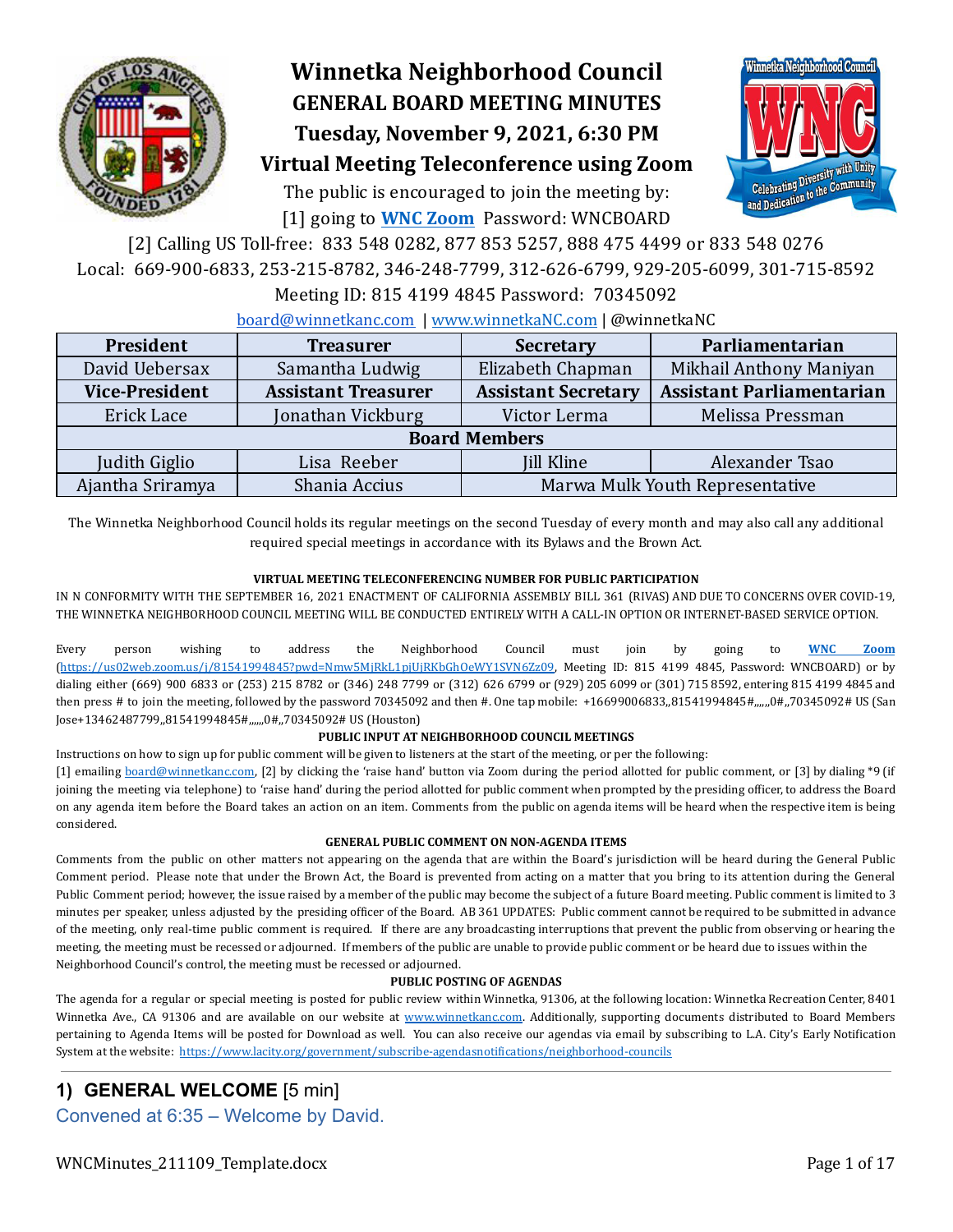

# **Winnetka Neighborhood Council GENERAL BOARD MEETING MINUTES Tuesday, November 9, 2021, 6:30 PM**



# **Virtual Meeting Teleconference using Zoom**

The public is encouraged to join the meeting by: [1] going to **WNC [Zoom](https://us02web.zoom.us/j/81541994845?pwd=Nmw5MjRkL1pjUjRKbGhOeWY1SVN6Zz09)** Password: WNCBOARD

[2] Calling US Toll-free: 833 548 0282, 877 853 5257, 888 475 4499 or 833 548 0276 Local: 669-900-6833, 253-215-8782, 346-248-7799, 312-626-6799, 929-205-6099, 301-715-8592

Meeting ID: 815 4199 4845 Password: 70345092

#### [board@winnetkanc.com](mailto:board@winnetkanc.com) | www.winnetkaNC.com | @winnetkaNC

| President             | <b>Treasurer</b>           | <b>Secretary</b>                | Parliamentarian                  |  |  |  |  |  |
|-----------------------|----------------------------|---------------------------------|----------------------------------|--|--|--|--|--|
| David Uebersax        | Samantha Ludwig            | Elizabeth Chapman               | Mikhail Anthony Maniyan          |  |  |  |  |  |
| <b>Vice-President</b> | <b>Assistant Treasurer</b> | <b>Assistant Secretary</b>      | <b>Assistant Parliamentarian</b> |  |  |  |  |  |
| Erick Lace            | Jonathan Vickburg          | Victor Lerma                    | Melissa Pressman                 |  |  |  |  |  |
| <b>Board Members</b>  |                            |                                 |                                  |  |  |  |  |  |
| Judith Giglio         | Lisa Reeber                | <b>Jill Kline</b>               | Alexander Tsao                   |  |  |  |  |  |
| Ajantha Sriramya      | Shania Accius              | Marwa Mulk Youth Representative |                                  |  |  |  |  |  |

The Winnetka Neighborhood Council holds its regular meetings on the second Tuesday of every month and may also call any additional required special meetings in accordance with its Bylaws and the Brown Act.

#### **VIRTUAL MEETING TELECONFERENCING NUMBER FOR PUBLIC PARTICIPATION**

IN N CONFORMITY WITH THE SEPTEMBER 16, 2021 ENACTMENT OF CALIFORNIA ASSEMBLY BILL 361 (RIVAS) AND DUE TO CONCERNS OVER COVID-19, THE WINNETKA NEIGHBORHOOD COUNCIL MEETING WILL BE CONDUCTED ENTIRELY WITH A CALL-IN OPTION OR INTERNET-BASED SERVICE OPTION.

Every person wishing to address the Neighborhood Council must join by going to **WNC [Zoom](https://us02web.zoom.us/j/81541994845?pwd=Nmw5MjRkL1pjUjRKbGhOeWY1SVN6Zz09)** [\(https://us02web.zoom.us/j/81541994845?pwd=Nmw5MjRkL1pjUjRKbGhOeWY1SVN6Zz09](https://us02web.zoom.us/j/81541994845?pwd=Nmw5MjRkL1pjUjRKbGhOeWY1SVN6Zz09), Meeting ID: 815 4199 4845, Password: WNCBOARD) or by dialing either (669) 900 6833 or (253) 215 8782 or (346) 248 7799 or (312) 626 6799 or (929) 205 6099 or (301) 715 8592, entering 815 4199 4845 and then press # to join the meeting, followed by the password 70345092 and then #. One tap mobile: +16699006833,,81541994845#,,,,,,0#,,70345092# US (San Jose+13462487799,,81541994845#,,,,,,0#,,70345092# US (Houston)

#### **PUBLIC INPUT AT NEIGHBORHOOD COUNCIL MEETINGS**

Instructions on how to sign up for public comment will be given to listeners at the start of the meeting, or per the following:

[1] emailing [board@winnetkanc.com,](mailto:board@winnetkanc.com) [2] by clicking the 'raise hand' button via Zoom during the period allotted for public comment, or [3] by dialing \*9 (if joining the meeting via telephone) to 'raise hand' during the period allotted for public comment when prompted by the presiding oficer, to address the Board on any agenda item before the Board takes an action on an item. Comments from the public on agenda items will be heard when the respective item is being considered.

#### **GENERAL PUBLIC COMMENT ON NON-AGENDA ITEMS**

Comments from the public on other matters not appearing on the agenda that are within the Board's jurisdiction will be heard during the General Public Comment period. Please note that under the Brown Act, the Board is prevented from acting on a matter that you bring to its attention during the General Public Comment period; however, the issue raised by a member of the public may become the subject of a future Board meeting. Public comment is limited to 3 minutes per speaker, unless adjusted by the presiding oficer of the Board. AB 361 UPDATES: Public comment cannot be required to be submitted in advance of the meeting, only real-time public comment is required. If there are any broadcasting interruptions that prevent the public from observing or hearing the meeting, the meeting must be recessed or adjourned. If members of the public are unable to provide public comment or be heard due to issues within the Neighborhood Council's control, the meeting must be recessed or adjourned.

#### **PUBLIC POSTING OF AGENDAS**

The agenda for a regular or special meeting is posted for public review within Winnetka, 91306, at the following location: Winnetka Recreation Center, 8401 Winnetka Ave., CA 91306 and are available on our website at www.winnetkanc.com. Additionally, supporting documents distributed to Board Members pertaining to Agenda Items will be posted for Download as well. You can also receive our agendas via email by subscribing to L.A. City's Early Notification System at the website: [https://www.lacity.org/government/subscribe-agendasnotiications/neighborhood-councils](https://www.lacity.org/government/subscribe-agendasnotifications/neighborhood-councils)

# **1) GENERAL WELCOME** [5 min]

Convened at 6:35 – Welcome by David.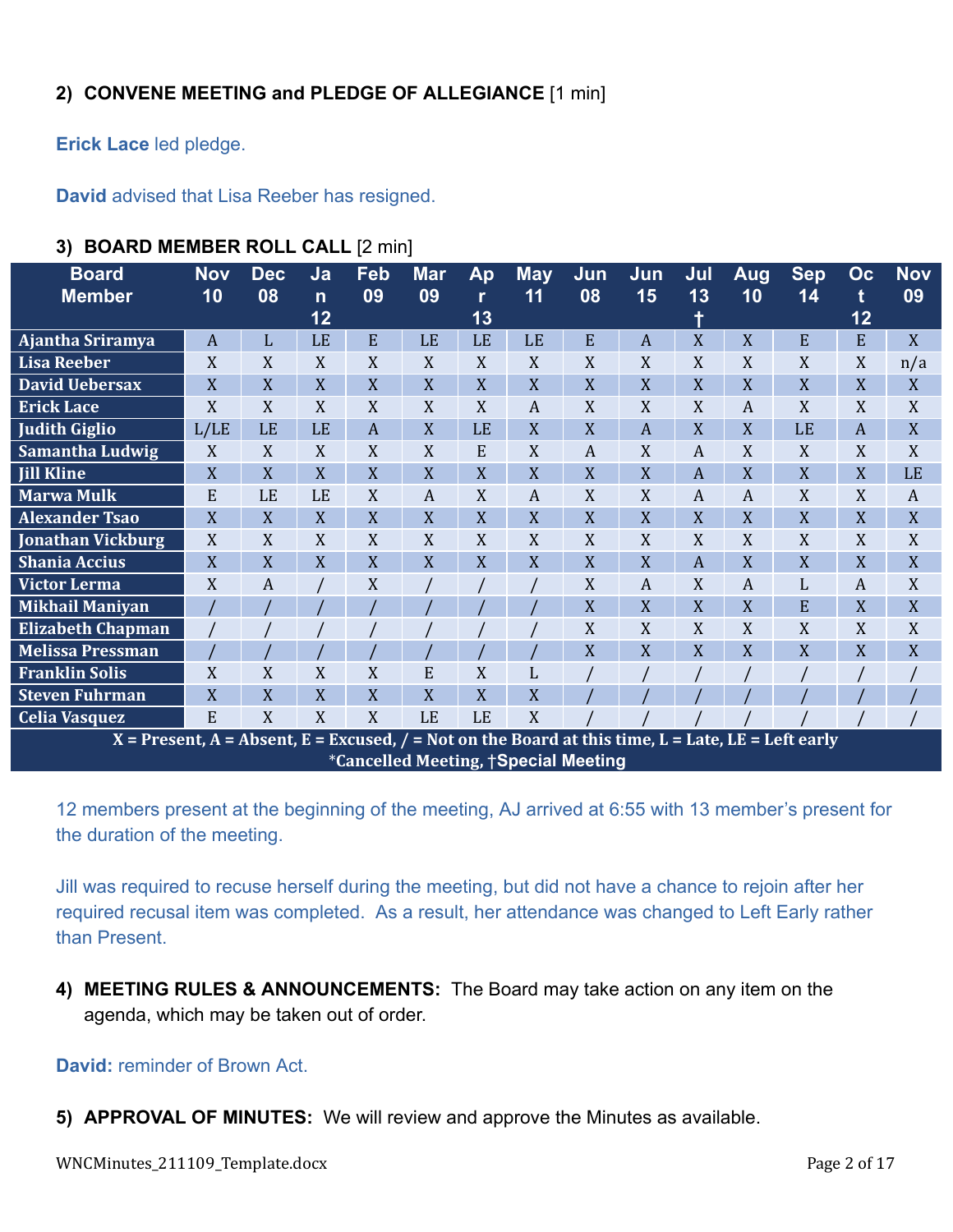# **2) CONVENE MEETING and PLEDGE OF ALLEGIANCE** [1 min]

**Erick Lace** led pledge.

**David** advised that Lisa Reeber has resigned.

| <b>Board</b>                                                                                         | <b>Nov</b>     | <b>Dec</b> | Ja           | Feb | <b>Mar</b>                                   | Ap           | <b>May</b>       | Jun | Jun | Jul | <b>Aug</b> | <b>Sep</b> | Oc             | <b>Nov</b> |
|------------------------------------------------------------------------------------------------------|----------------|------------|--------------|-----|----------------------------------------------|--------------|------------------|-----|-----|-----|------------|------------|----------------|------------|
| <b>Member</b>                                                                                        | 10             | 08         | $\mathsf{n}$ | 09  | 09                                           | $\mathbf{r}$ | 11               | 08  | 15  | 13  | 10         | 14         | t              | 09         |
|                                                                                                      |                |            | 12           |     |                                              | 13           |                  |     |     | ۰   |            |            | 12             |            |
| Ajantha Sriramya                                                                                     | $\overline{A}$ | L          | LE           | E   | LE                                           | LE           | LE               | E   | A   | X   | X          | E          | E              | X          |
| <b>Lisa Reeber</b>                                                                                   | X              | X          | X            | X   | X                                            | $\mathbf X$  | X                | X   | X   | X   | X          | X          | X              | n/a        |
| <b>David Uebersax</b>                                                                                | X              | X          | X            | X   | X                                            | X            | X                | X   | X   | X   | X          | X          | X              | X          |
| <b>Erick Lace</b>                                                                                    | X              | X          | X            | X   | X                                            | X            | $\boldsymbol{A}$ | X   | X   | X   | A          | X          | X              | X          |
| <b>Judith Giglio</b>                                                                                 | L/LE           | LE         | LE           | A   | $\overline{X}$                               | LE           | X                | X   | A   | X   | X          | LE         | $\overline{A}$ | X          |
| Samantha Ludwig                                                                                      | X              | X          | X            | X   | X                                            | E            | X                | A   | X   | A   | X          | X          | X              | X          |
| <b>Jill Kline</b>                                                                                    | X              | X          | X            | X   | X                                            | X            | X                | X   | X   | A   | X          | X          | X              | LE         |
| <b>Marwa Mulk</b>                                                                                    | E              | LE         | LE           | X   | A                                            | X            | A                | X   | X   | A   | A          | X          | X              | A          |
| <b>Alexander Tsao</b>                                                                                | X              | X          | X            | X   | X                                            | X            | X                | X   | X   | X   | X          | X          | X              | X          |
| Jonathan Vickburg                                                                                    | X              | X          | X            | X   | X                                            | X            | X                | X   | X   | X   | X          | X          | X              | X          |
| <b>Shania Accius</b>                                                                                 | X              | X          | X            | X   | X                                            | X            | X                | X   | X   | A   | X          | X          | X              | X          |
| <b>Victor Lerma</b>                                                                                  | X              | A          |              | X   |                                              |              |                  | X   | A   | X   | A          | L          | A              | X          |
| <b>Mikhail Maniyan</b>                                                                               |                |            |              |     |                                              |              |                  | X   | X   | X   | X          | E          | X              | X          |
| <b>Elizabeth Chapman</b>                                                                             |                |            |              |     |                                              |              |                  | X   | X   | X   | X          | X          | X              | X          |
| <b>Melissa Pressman</b>                                                                              |                |            |              |     |                                              |              |                  | X   | X   | X   | X          | X          | X              | X          |
| <b>Franklin Solis</b>                                                                                | X              | X          | X            | X   | E                                            | X            |                  |     |     |     |            |            |                |            |
| <b>Steven Fuhrman</b>                                                                                | X              | X          | X            | X   | X                                            | X            | X                |     |     |     |            |            |                |            |
| <b>Celia Vasquez</b>                                                                                 | E              | X          | X            | X   | LE                                           | LE           | X                |     |     |     |            |            |                |            |
| $X =$ Present, A = Absent, E = Excused, / = Not on the Board at this time, L = Late, LE = Left early |                |            |              |     |                                              |              |                  |     |     |     |            |            |                |            |
|                                                                                                      |                |            |              |     | <i>*</i> Cancelled Meeting, †Special Meeting |              |                  |     |     |     |            |            |                |            |

# **3) BOARD MEMBER ROLL CALL** [2 min]

12 members present at the beginning of the meeting, AJ arrived at 6:55 with 13 member's present for the duration of the meeting.

Jill was required to recuse herself during the meeting, but did not have a chance to rejoin after her required recusal item was completed. As a result, her attendance was changed to Left Early rather than Present.

**4) MEETING RULES & ANNOUNCEMENTS:** The Board may take action on any item on the agenda, which may be taken out of order.

#### **David:** reminder of Brown Act.

**5) APPROVAL OF MINUTES:** We will review and approve the Minutes as available.

WNCMinutes\_211109\_Template.docx Page 2 of 17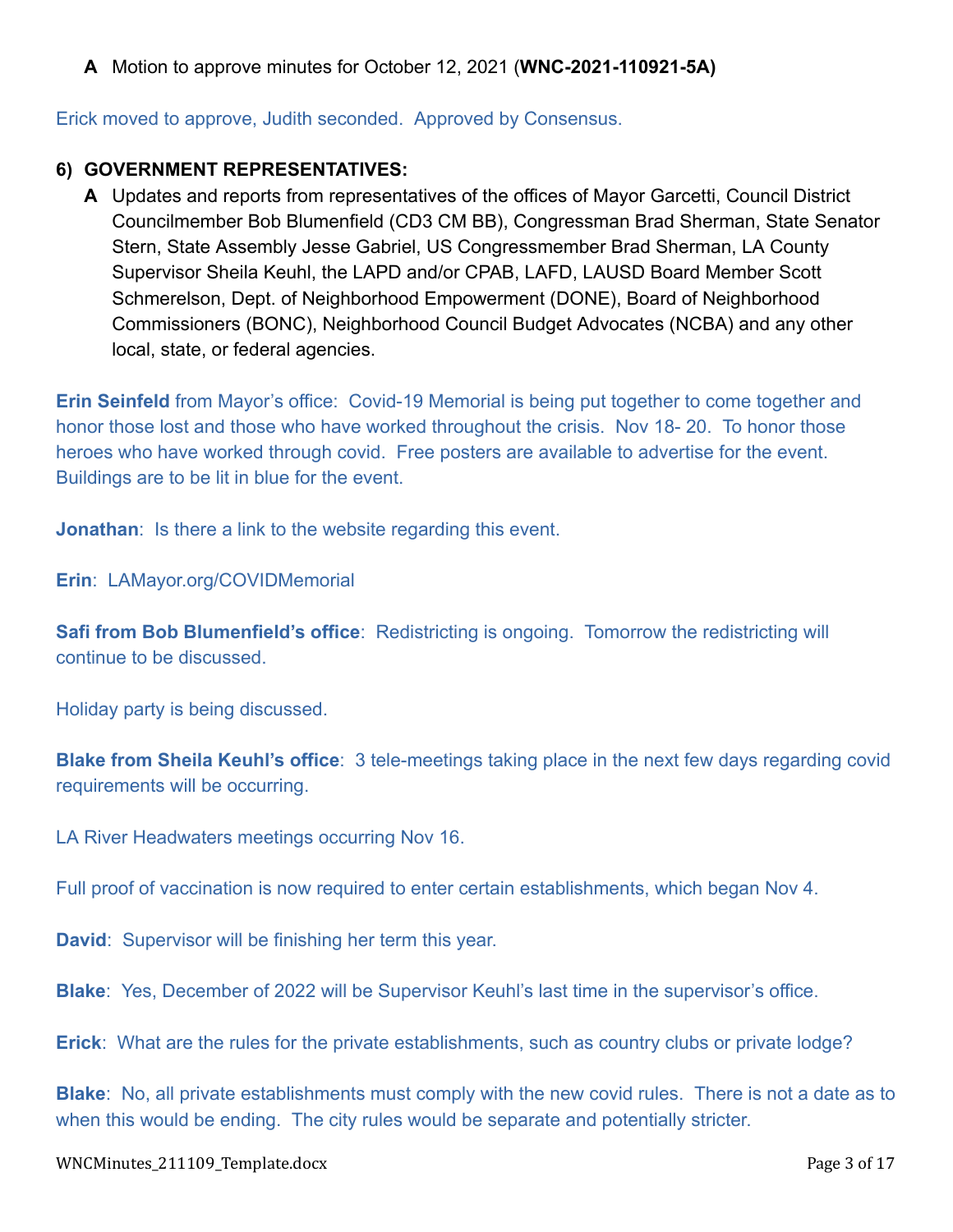**A** Motion to approve minutes for October 12, 2021 (**WNC-2021-110921-5A)**

Erick moved to approve, Judith seconded. Approved by Consensus.

### **6) GOVERNMENT REPRESENTATIVES:**

**A** Updates and reports from representatives of the offices of Mayor Garcetti, Council District Councilmember Bob Blumenfield (CD3 CM BB), Congressman Brad Sherman, State Senator Stern, State Assembly Jesse Gabriel, US Congressmember Brad Sherman, LA County Supervisor Sheila Keuhl, the LAPD and/or CPAB, LAFD, LAUSD Board Member Scott Schmerelson, Dept. of Neighborhood Empowerment (DONE), Board of Neighborhood Commissioners (BONC), Neighborhood Council Budget Advocates (NCBA) and any other local, state, or federal agencies.

**Erin Seinfeld** from Mayor's office: Covid-19 Memorial is being put together to come together and honor those lost and those who have worked throughout the crisis. Nov 18- 20. To honor those heroes who have worked through covid. Free posters are available to advertise for the event. Buildings are to be lit in blue for the event.

**Jonathan:** Is there a link to the website regarding this event.

**Erin**: LAMayor.org/COVIDMemorial

**Safi from Bob Blumenfield's office:** Redistricting is ongoing. Tomorrow the redistricting will continue to be discussed.

Holiday party is being discussed.

**Blake from Sheila Keuhl's office**: 3 tele-meetings taking place in the next few days regarding covid requirements will be occurring.

LA River Headwaters meetings occurring Nov 16.

Full proof of vaccination is now required to enter certain establishments, which began Nov 4.

**David**: Supervisor will be finishing her term this year.

**Blake**: Yes, December of 2022 will be Supervisor Keuhl's last time in the supervisor's office.

**Erick**: What are the rules for the private establishments, such as country clubs or private lodge?

**Blake**: No, all private establishments must comply with the new covid rules. There is not a date as to when this would be ending. The city rules would be separate and potentially stricter.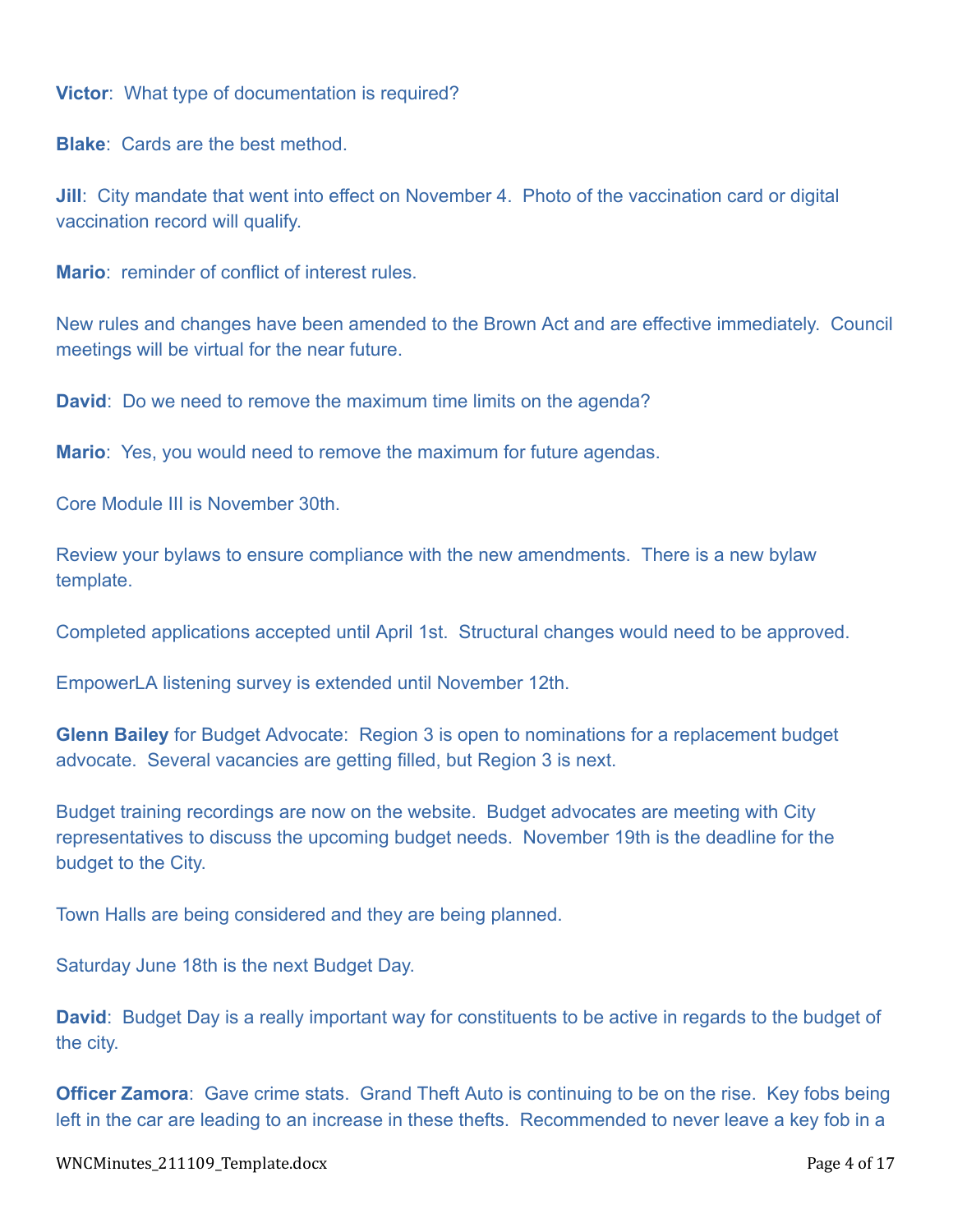**Victor**: What type of documentation is required?

**Blake**: Cards are the best method.

**Jill**: City mandate that went into effect on November 4. Photo of the vaccination card or digital vaccination record will qualify.

**Mario**: reminder of conflict of interest rules.

New rules and changes have been amended to the Brown Act and are effective immediately. Council meetings will be virtual for the near future.

**David**: Do we need to remove the maximum time limits on the agenda?

**Mario**: Yes, you would need to remove the maximum for future agendas.

Core Module III is November 30th.

Review your bylaws to ensure compliance with the new amendments. There is a new bylaw template.

Completed applications accepted until April 1st. Structural changes would need to be approved.

EmpowerLA listening survey is extended until November 12th.

**Glenn Bailey** for Budget Advocate: Region 3 is open to nominations for a replacement budget advocate. Several vacancies are getting filled, but Region 3 is next.

Budget training recordings are now on the website. Budget advocates are meeting with City representatives to discuss the upcoming budget needs. November 19th is the deadline for the budget to the City.

Town Halls are being considered and they are being planned.

Saturday June 18th is the next Budget Day.

**David**: Budget Day is a really important way for constituents to be active in regards to the budget of the city.

**Officer Zamora**: Gave crime stats. Grand Theft Auto is continuing to be on the rise. Key fobs being left in the car are leading to an increase in these thefts. Recommended to never leave a key fob in a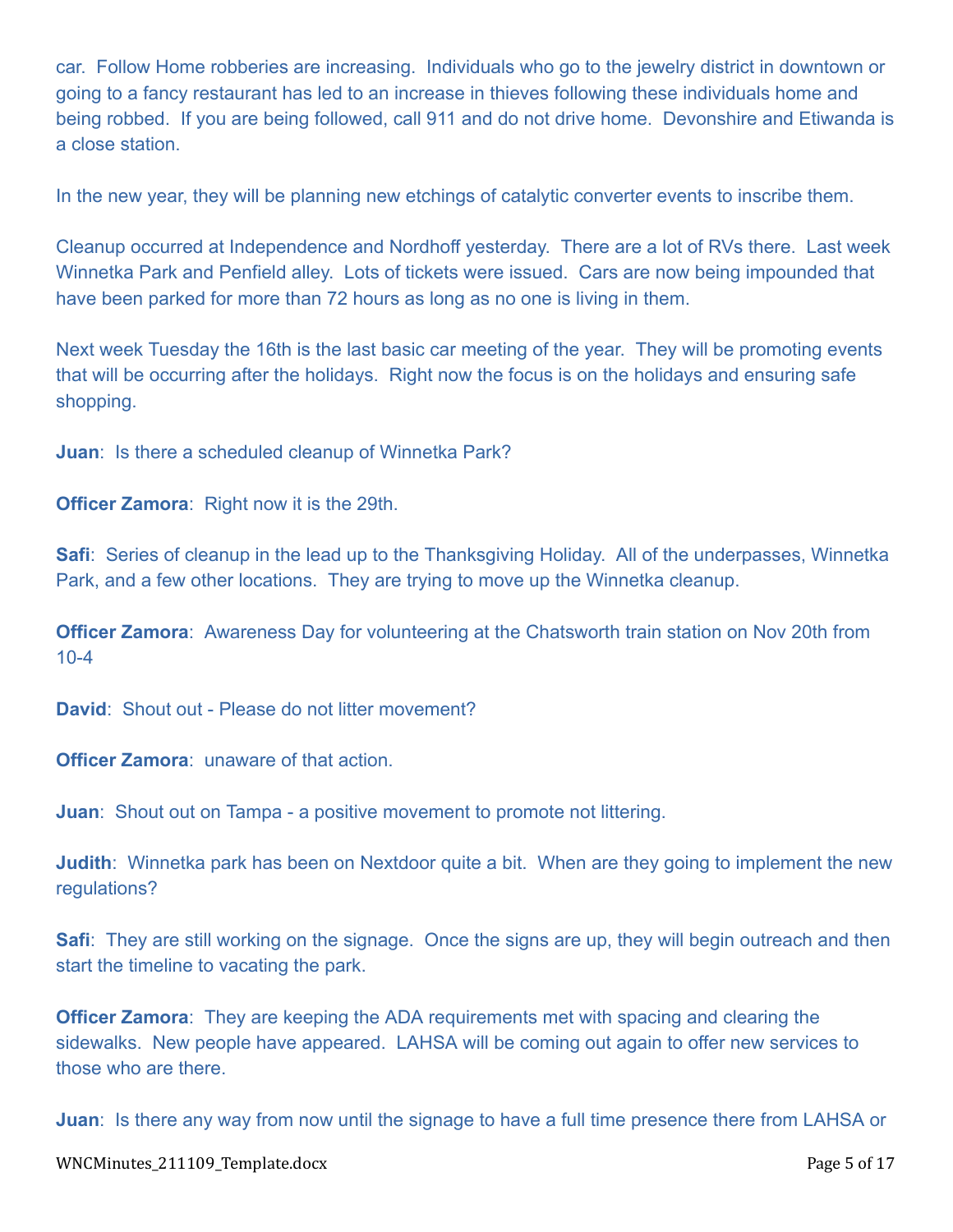car. Follow Home robberies are increasing. Individuals who go to the jewelry district in downtown or going to a fancy restaurant has led to an increase in thieves following these individuals home and being robbed. If you are being followed, call 911 and do not drive home. Devonshire and Etiwanda is a close station.

In the new year, they will be planning new etchings of catalytic converter events to inscribe them.

Cleanup occurred at Independence and Nordhoff yesterday. There are a lot of RVs there. Last week Winnetka Park and Penfield alley. Lots of tickets were issued. Cars are now being impounded that have been parked for more than 72 hours as long as no one is living in them.

Next week Tuesday the 16th is the last basic car meeting of the year. They will be promoting events that will be occurring after the holidays. Right now the focus is on the holidays and ensuring safe shopping.

**Juan**: Is there a scheduled cleanup of Winnetka Park?

**Officer Zamora**: Right now it is the 29th.

**Safi**: Series of cleanup in the lead up to the Thanksgiving Holiday. All of the underpasses, Winnetka Park, and a few other locations. They are trying to move up the Winnetka cleanup.

**Officer Zamora**: Awareness Day for volunteering at the Chatsworth train station on Nov 20th from 10-4

**David:** Shout out - Please do not litter movement?

**Officer Zamora**: unaware of that action.

**Juan:** Shout out on Tampa - a positive movement to promote not littering.

**Judith**: Winnetka park has been on Nextdoor quite a bit. When are they going to implement the new regulations?

**Safi**: They are still working on the signage. Once the signs are up, they will begin outreach and then start the timeline to vacating the park.

**Officer Zamora**: They are keeping the ADA requirements met with spacing and clearing the sidewalks. New people have appeared. LAHSA will be coming out again to offer new services to those who are there.

**Juan**: Is there any way from now until the signage to have a full time presence there from LAHSA or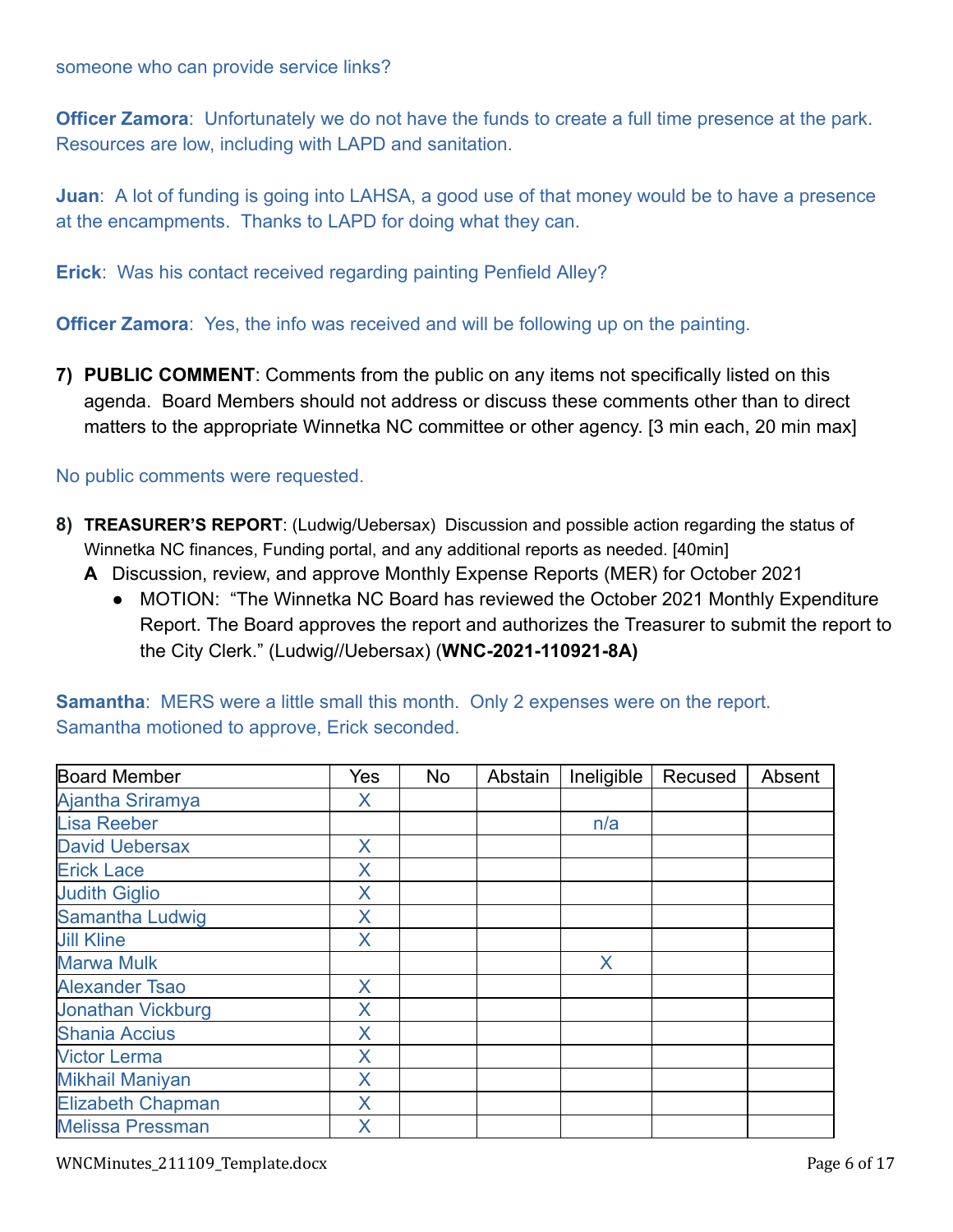**Officer Zamora**: Unfortunately we do not have the funds to create a full time presence at the park. Resources are low, including with LAPD and sanitation.

**Juan**: A lot of funding is going into LAHSA, a good use of that money would be to have a presence at the encampments. Thanks to LAPD for doing what they can.

**Erick**: Was his contact received regarding painting Penfield Alley?

**Officer Zamora:** Yes, the info was received and will be following up on the painting.

**7) PUBLIC COMMENT**: Comments from the public on any items not specifically listed on this agenda. Board Members should not address or discuss these comments other than to direct matters to the appropriate Winnetka NC committee or other agency. [3 min each, 20 min max]

#### No public comments were requested.

- **8) TREASURER'S REPORT**: (Ludwig/Uebersax) Discussion and possible action regarding the status of Winnetka NC finances, Funding portal, and any additional reports as needed. [40min]
	- **A** Discussion, review, and approve Monthly Expense Reports (MER) for October 2021
		- MOTION: "The Winnetka NC Board has reviewed the October 2021 Monthly Expenditure Report. The Board approves the report and authorizes the Treasurer to submit the report to the City Clerk." (Ludwig//Uebersax) (**WNC-2021-110921-8A)**

| <b>Board Member</b>      | Yes | No | Abstain | Ineligible | Recused | Absent |
|--------------------------|-----|----|---------|------------|---------|--------|
| Ajantha Sriramya         | X   |    |         |            |         |        |
| <b>Lisa Reeber</b>       |     |    |         | n/a        |         |        |
| <b>David Uebersax</b>    | X   |    |         |            |         |        |
| <b>Erick Lace</b>        | X   |    |         |            |         |        |
| <b>Judith Giglio</b>     | X   |    |         |            |         |        |
| <b>Samantha Ludwig</b>   | X   |    |         |            |         |        |
| <b>Jill Kline</b>        | X   |    |         |            |         |        |
| <b>Marwa Mulk</b>        |     |    |         | X          |         |        |
| <b>Alexander Tsao</b>    | X   |    |         |            |         |        |
| <b>Jonathan Vickburg</b> | X   |    |         |            |         |        |
| <b>Shania Accius</b>     | X   |    |         |            |         |        |
| <b>Victor Lerma</b>      | X   |    |         |            |         |        |
| <b>Mikhail Maniyan</b>   | X   |    |         |            |         |        |
| <b>Elizabeth Chapman</b> | X   |    |         |            |         |        |
| <b>Melissa Pressman</b>  | X   |    |         |            |         |        |

**Samantha**: MERS were a little small this month. Only 2 expenses were on the report. Samantha motioned to approve, Erick seconded.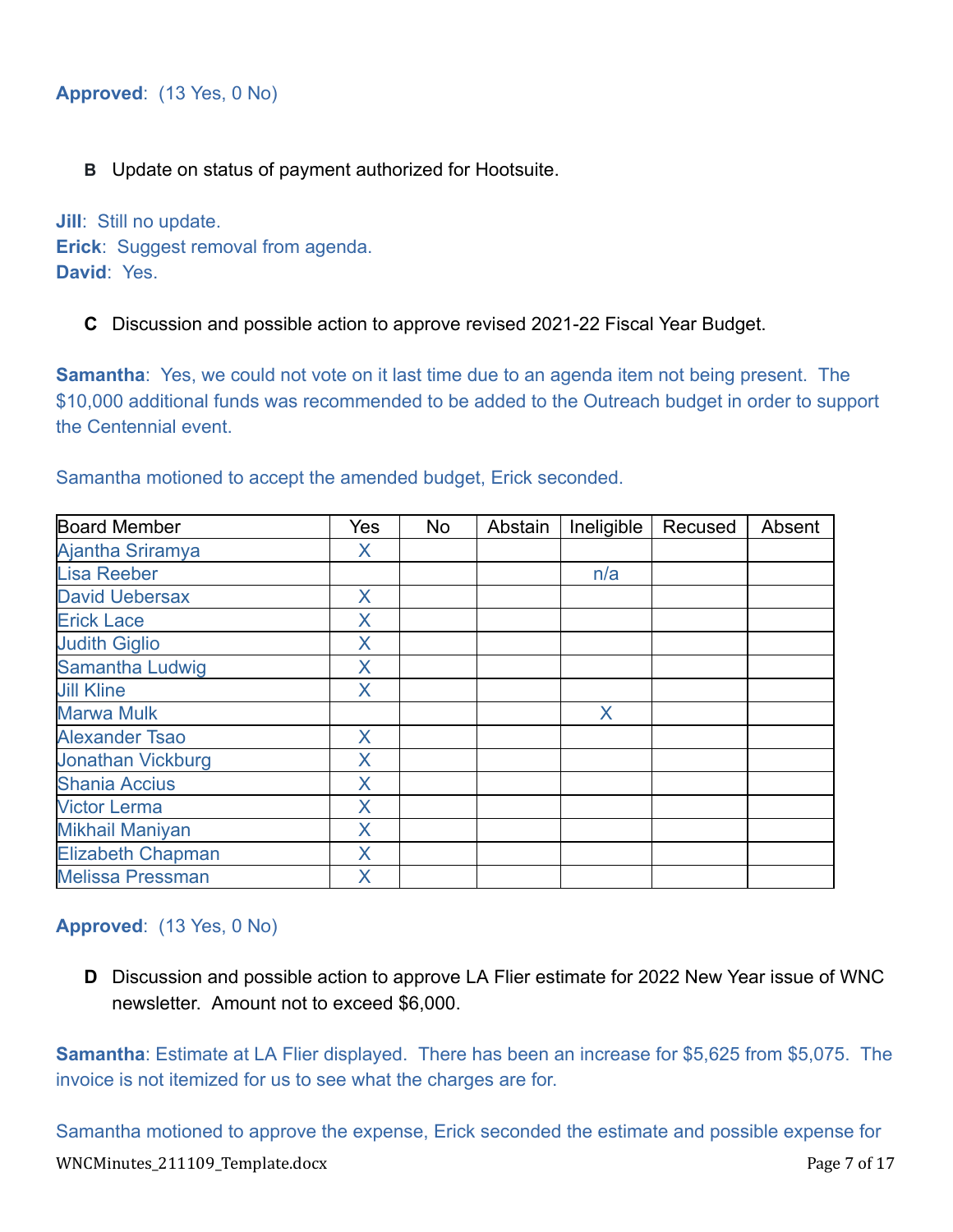### **B** Update on status of payment authorized for Hootsuite.

**Jill**: Still no update. **Erick**: Suggest removal from agenda. **David**: Yes.

#### **C** Discussion and possible action to approve revised 2021-22 Fiscal Year Budget.

**Samantha**: Yes, we could not vote on it last time due to an agenda item not being present. The \$10,000 additional funds was recommended to be added to the Outreach budget in order to support the Centennial event.

Samantha motioned to accept the amended budget, Erick seconded.

| <b>Board Member</b>      | Yes          | No | Abstain | Ineligible | Recused | Absent |
|--------------------------|--------------|----|---------|------------|---------|--------|
| Ajantha Sriramya         | X            |    |         |            |         |        |
| <b>Lisa Reeber</b>       |              |    |         | n/a        |         |        |
| <b>David Uebersax</b>    | $\mathsf{X}$ |    |         |            |         |        |
| <b>Erick Lace</b>        | X            |    |         |            |         |        |
| <b>Judith Giglio</b>     | X            |    |         |            |         |        |
| Samantha Ludwig          | X            |    |         |            |         |        |
| <b>Jill Kline</b>        | X            |    |         |            |         |        |
| <b>Marwa Mulk</b>        |              |    |         | X.         |         |        |
| <b>Alexander Tsao</b>    | X            |    |         |            |         |        |
| <b>Jonathan Vickburg</b> | X            |    |         |            |         |        |
| <b>Shania Accius</b>     | X            |    |         |            |         |        |
| <b>Victor Lerma</b>      | X            |    |         |            |         |        |
| <b>Mikhail Maniyan</b>   | X            |    |         |            |         |        |
| <b>Elizabeth Chapman</b> | X            |    |         |            |         |        |
| <b>Melissa Pressman</b>  | X            |    |         |            |         |        |

#### **Approved**: (13 Yes, 0 No)

**D** Discussion and possible action to approve LA Flier estimate for 2022 New Year issue of WNC newsletter. Amount not to exceed \$6,000.

**Samantha**: Estimate at LA Flier displayed. There has been an increase for \$5,625 from \$5,075. The invoice is not itemized for us to see what the charges are for.

Samantha motioned to approve the expense, Erick seconded the estimate and possible expense for WNCMinutes\_211109\_Template.docx Page 7 of 17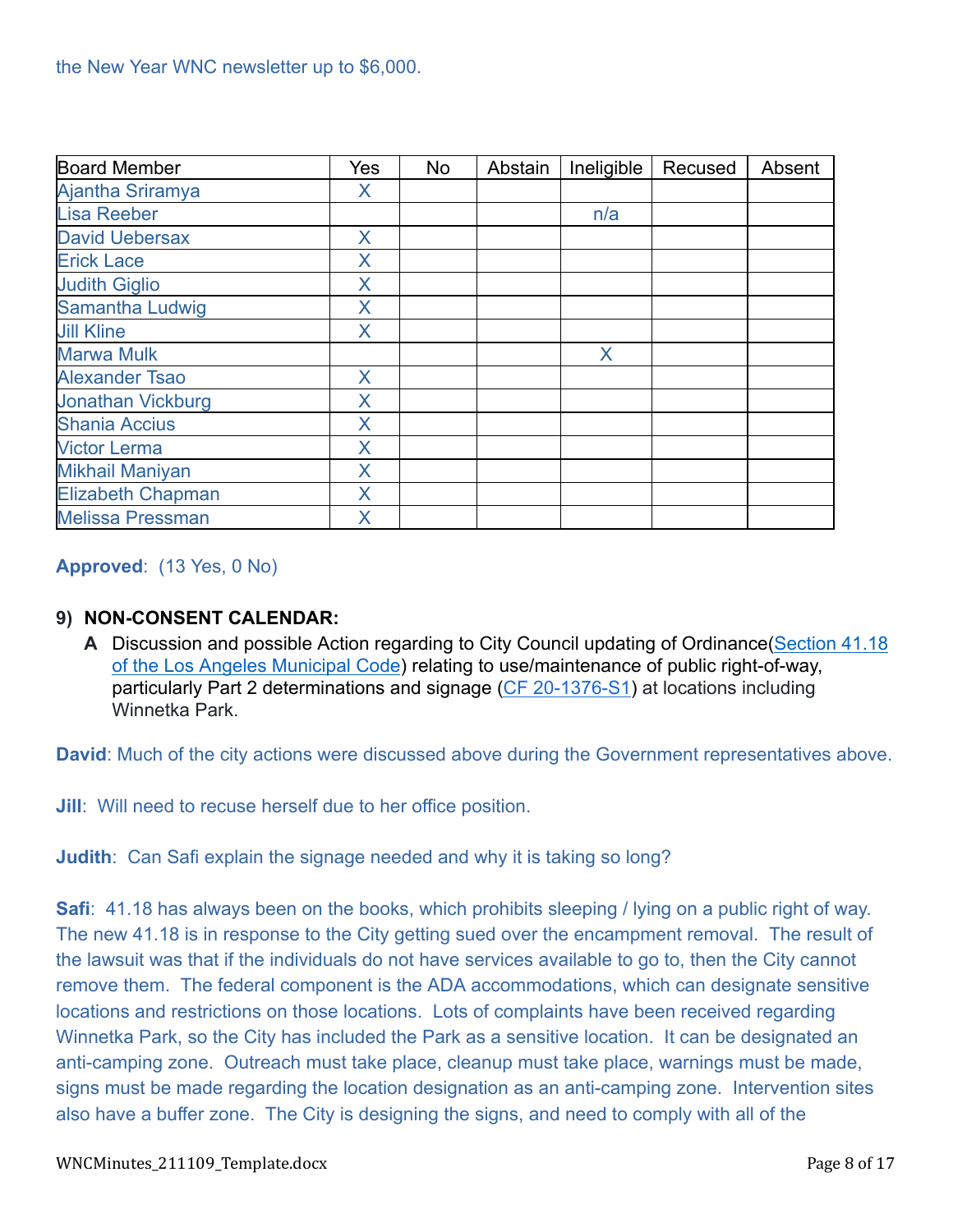| <b>Board Member</b>      | Yes          | <b>No</b> | Abstain | Ineligible | Recused | Absent |
|--------------------------|--------------|-----------|---------|------------|---------|--------|
| Ajantha Sriramya         | X            |           |         |            |         |        |
| <b>Lisa Reeber</b>       |              |           |         | n/a        |         |        |
| <b>David Uebersax</b>    | X            |           |         |            |         |        |
| <b>Erick Lace</b>        | X            |           |         |            |         |        |
| <b>Judith Giglio</b>     | X            |           |         |            |         |        |
| <b>Samantha Ludwig</b>   | X            |           |         |            |         |        |
| <b>Jill Kline</b>        | X            |           |         |            |         |        |
| <b>Marwa Mulk</b>        |              |           |         | X          |         |        |
| <b>Alexander Tsao</b>    | $\mathsf{X}$ |           |         |            |         |        |
| <b>Jonathan Vickburg</b> | X            |           |         |            |         |        |
| <b>Shania Accius</b>     | X            |           |         |            |         |        |
| <b>Victor Lerma</b>      | X            |           |         |            |         |        |
| <b>Mikhail Maniyan</b>   | X            |           |         |            |         |        |
| <b>Elizabeth Chapman</b> | X            |           |         |            |         |        |
| <b>Melissa Pressman</b>  | X            |           |         |            |         |        |

### **Approved**: (13 Yes, 0 No)

### **9) NON-CONSENT CALENDAR:**

**A** Discussion and possible Action regarding to City Council updating of Ordinance[\(Section 41.18](https://clkrep.lacity.org/onlinedocs/2020/20-1376-S1_ord_187127_09-03-21.pdf) [of the Los Angeles Municipal Code](https://clkrep.lacity.org/onlinedocs/2020/20-1376-S1_ord_187127_09-03-21.pdf)) relating to use/maintenance of public right-of-way, particularly Part 2 determinations and signage (CF [20-1376-S1\)](https://cityclerk.lacity.org/lacityclerkconnect/index.cfm?fa=ccfi.viewrecord&cfnumber=20-1376-S1) at locations including Winnetka Park.

**David**: Much of the city actions were discussed above during the Government representatives above.

**Jill**: Will need to recuse herself due to her office position.

**Judith**: Can Safi explain the signage needed and why it is taking so long?

**Safi**: 41.18 has always been on the books, which prohibits sleeping / lying on a public right of way. The new 41.18 is in response to the City getting sued over the encampment removal. The result of the lawsuit was that if the individuals do not have services available to go to, then the City cannot remove them. The federal component is the ADA accommodations, which can designate sensitive locations and restrictions on those locations. Lots of complaints have been received regarding Winnetka Park, so the City has included the Park as a sensitive location. It can be designated an anti-camping zone. Outreach must take place, cleanup must take place, warnings must be made, signs must be made regarding the location designation as an anti-camping zone. Intervention sites also have a buffer zone. The City is designing the signs, and need to comply with all of the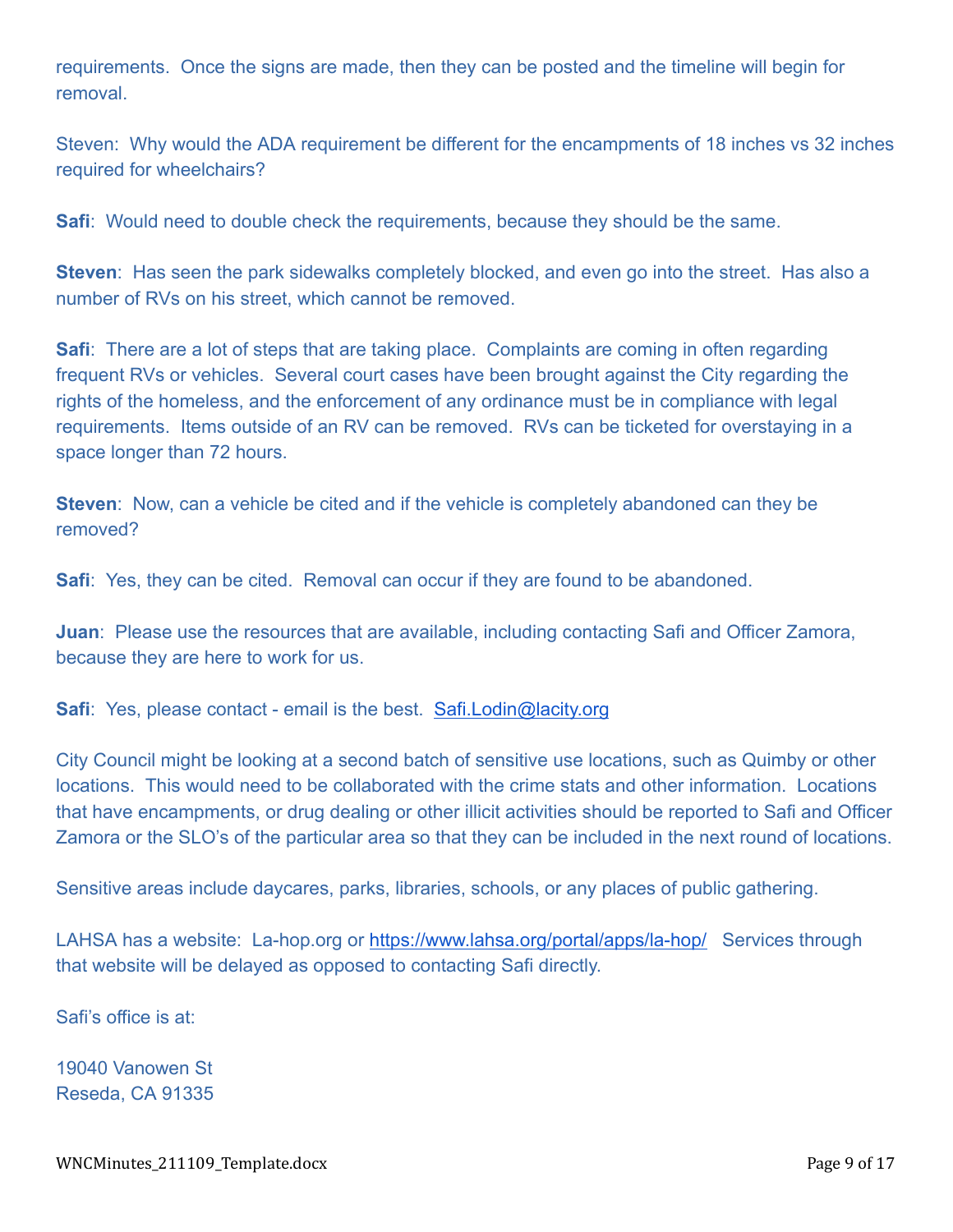requirements. Once the signs are made, then they can be posted and the timeline will begin for removal.

Steven: Why would the ADA requirement be different for the encampments of 18 inches vs 32 inches required for wheelchairs?

**Safi**: Would need to double check the requirements, because they should be the same.

**Steven**: Has seen the park sidewalks completely blocked, and even go into the street. Has also a number of RVs on his street, which cannot be removed.

**Safi**: There are a lot of steps that are taking place. Complaints are coming in often regarding frequent RVs or vehicles. Several court cases have been brought against the City regarding the rights of the homeless, and the enforcement of any ordinance must be in compliance with legal requirements. Items outside of an RV can be removed. RVs can be ticketed for overstaying in a space longer than 72 hours.

**Steven**: Now, can a vehicle be cited and if the vehicle is completely abandoned can they be removed?

**Safi**: Yes, they can be cited. Removal can occur if they are found to be abandoned.

**Juan**: Please use the resources that are available, including contacting Safi and Officer Zamora, because they are here to work for us.

**Safi**: Yes, please contact - email is the best. [Safi.Lodin@lacity.org](mailto:Safi.Lodin@lacity.org)

City Council might be looking at a second batch of sensitive use locations, such as Quimby or other locations. This would need to be collaborated with the crime stats and other information. Locations that have encampments, or drug dealing or other illicit activities should be reported to Safi and Officer Zamora or the SLO's of the particular area so that they can be included in the next round of locations.

Sensitive areas include daycares, parks, libraries, schools, or any places of public gathering.

LAHSA has a website: La-hop.org or <https://www.lahsa.org/portal/apps/la-hop/> Services through that website will be delayed as opposed to contacting Safi directly.

Safi's office is at:

19040 Vanowen St Reseda, CA 91335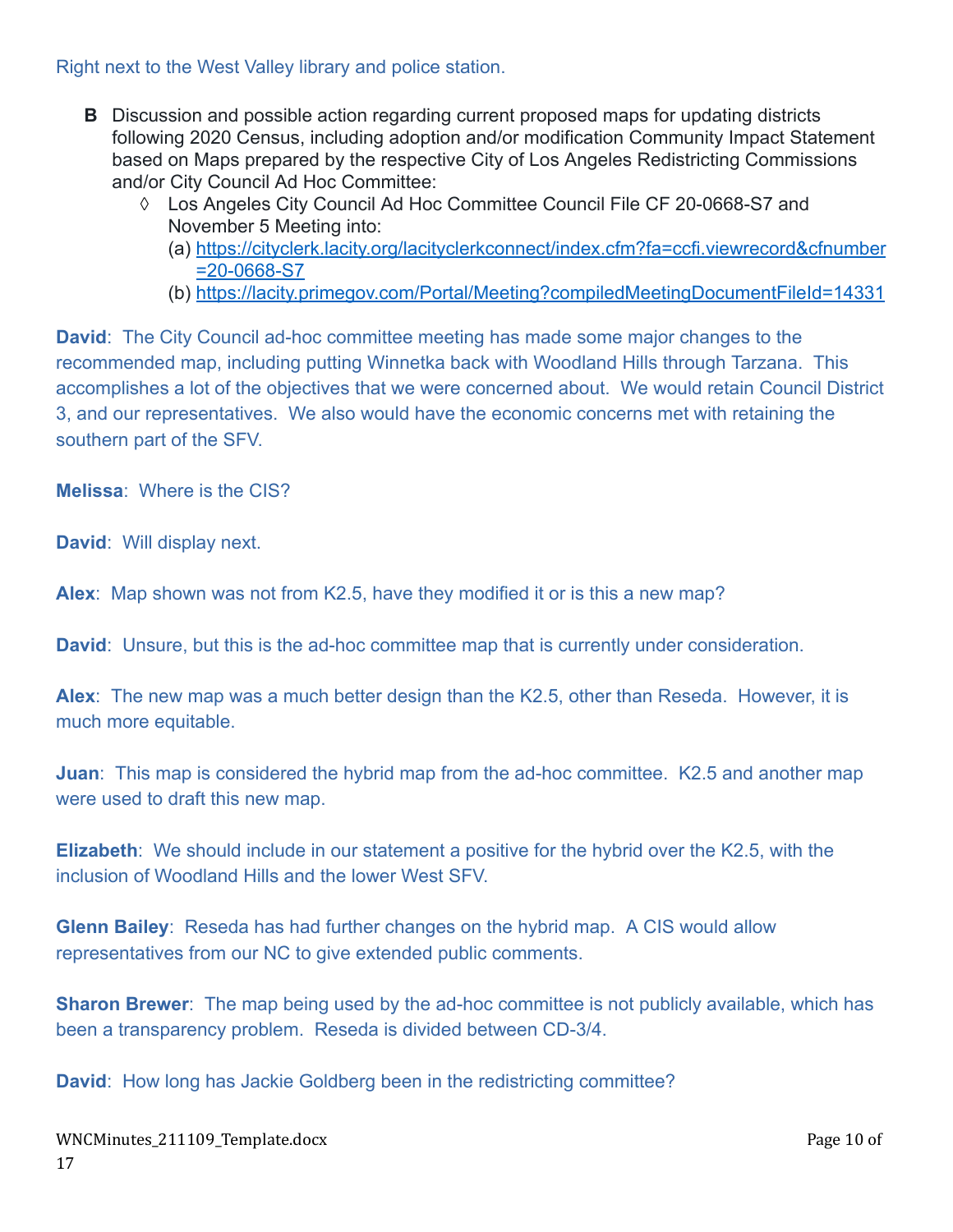### Right next to the West Valley library and police station.

- **B** Discussion and possible action regarding current proposed maps for updating districts following 2020 Census, including adoption and/or modification Community Impact Statement based on Maps prepared by the respective City of Los Angeles Redistricting Commissions and/or City Council Ad Hoc Committee:
	- ◊ Los Angeles City Council Ad Hoc Committee Council File CF 20-0668-S7 and November 5 Meeting into:
		- (a) [https://cityclerk.lacity.org/lacityclerkconnect/index.cfm?fa=ccfi.viewrecord&cfnumber](https://cityclerk.lacity.org/lacityclerkconnect/index.cfm?fa=ccfi.viewrecord&cfnumber=20-0668-S7) [=20-0668-S7](https://cityclerk.lacity.org/lacityclerkconnect/index.cfm?fa=ccfi.viewrecord&cfnumber=20-0668-S7)
		- (b) <https://lacity.primegov.com/Portal/Meeting?compiledMeetingDocumentFileId=14331>

**David**: The City Council ad-hoc committee meeting has made some major changes to the recommended map, including putting Winnetka back with Woodland Hills through Tarzana. This accomplishes a lot of the objectives that we were concerned about. We would retain Council District 3, and our representatives. We also would have the economic concerns met with retaining the southern part of the SFV.

**Melissa**: Where is the CIS?

**David**: Will display next.

**Alex**: Map shown was not from K2.5, have they modified it or is this a new map?

**David**: Unsure, but this is the ad-hoc committee map that is currently under consideration.

**Alex**: The new map was a much better design than the K2.5, other than Reseda. However, it is much more equitable.

**Juan**: This map is considered the hybrid map from the ad-hoc committee. K2.5 and another map were used to draft this new map.

**Elizabeth**: We should include in our statement a positive for the hybrid over the K2.5, with the inclusion of Woodland Hills and the lower West SFV.

**Glenn Bailey**: Reseda has had further changes on the hybrid map. A CIS would allow representatives from our NC to give extended public comments.

**Sharon Brewer**: The map being used by the ad-hoc committee is not publicly available, which has been a transparency problem. Reseda is divided between CD-3/4.

**David:** How long has Jackie Goldberg been in the redistricting committee?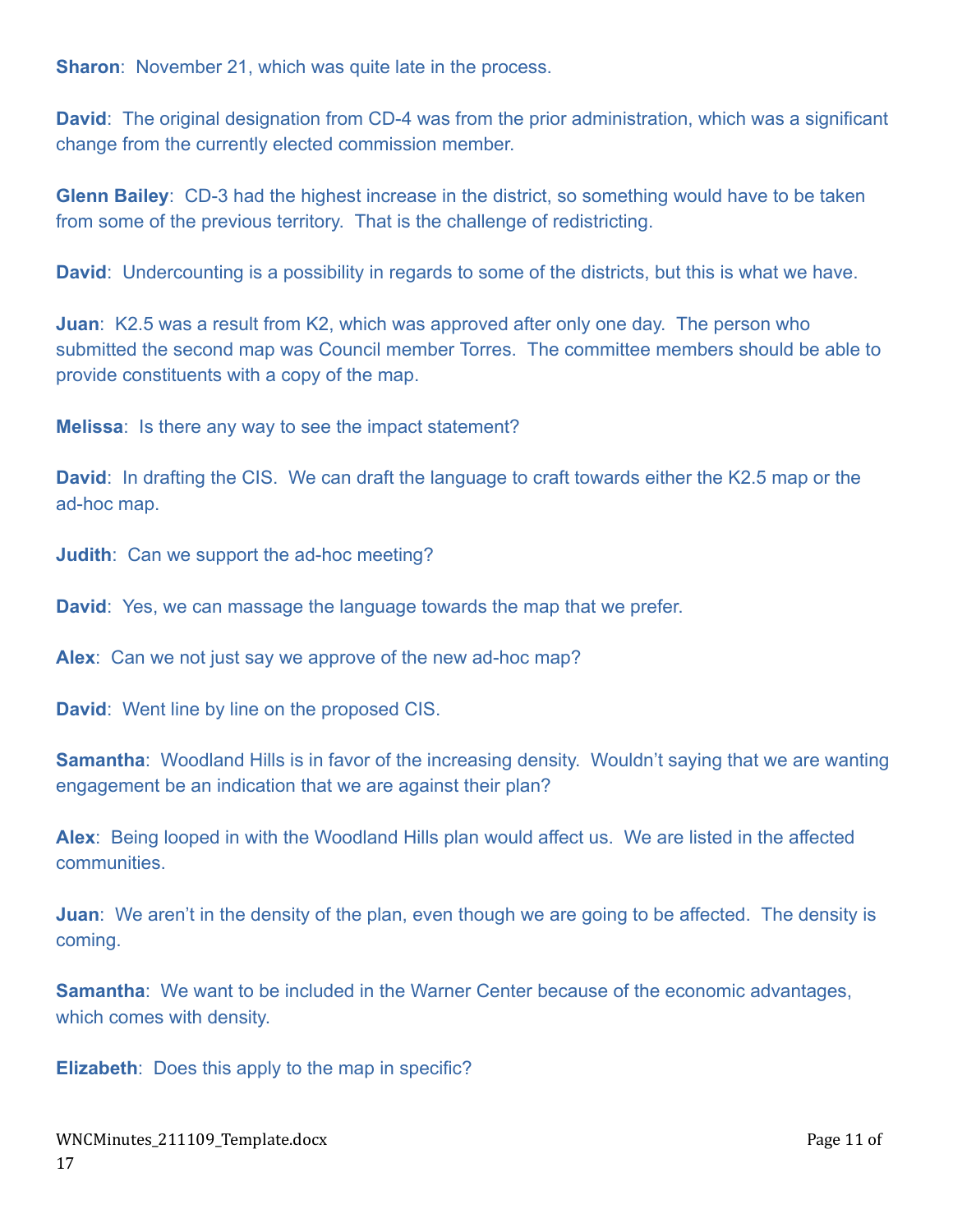**Sharon:** November 21, which was quite late in the process.

**David**: The original designation from CD-4 was from the prior administration, which was a significant change from the currently elected commission member.

**Glenn Bailey**: CD-3 had the highest increase in the district, so something would have to be taken from some of the previous territory. That is the challenge of redistricting.

**David**: Undercounting is a possibility in regards to some of the districts, but this is what we have.

**Juan**: K2.5 was a result from K2, which was approved after only one day. The person who submitted the second map was Council member Torres. The committee members should be able to provide constituents with a copy of the map.

**Melissa**: Is there any way to see the impact statement?

**David**: In drafting the CIS. We can draft the language to craft towards either the K2.5 map or the ad-hoc map.

**Judith**: Can we support the ad-hoc meeting?

**David**: Yes, we can massage the language towards the map that we prefer.

**Alex**: Can we not just say we approve of the new ad-hoc map?

**David**: Went line by line on the proposed CIS.

**Samantha**: Woodland Hills is in favor of the increasing density. Wouldn't saying that we are wanting engagement be an indication that we are against their plan?

**Alex**: Being looped in with the Woodland Hills plan would affect us. We are listed in the affected communities.

**Juan:** We aren't in the density of the plan, even though we are going to be affected. The density is coming.

**Samantha**: We want to be included in the Warner Center because of the economic advantages, which comes with density.

**Elizabeth**: Does this apply to the map in specific?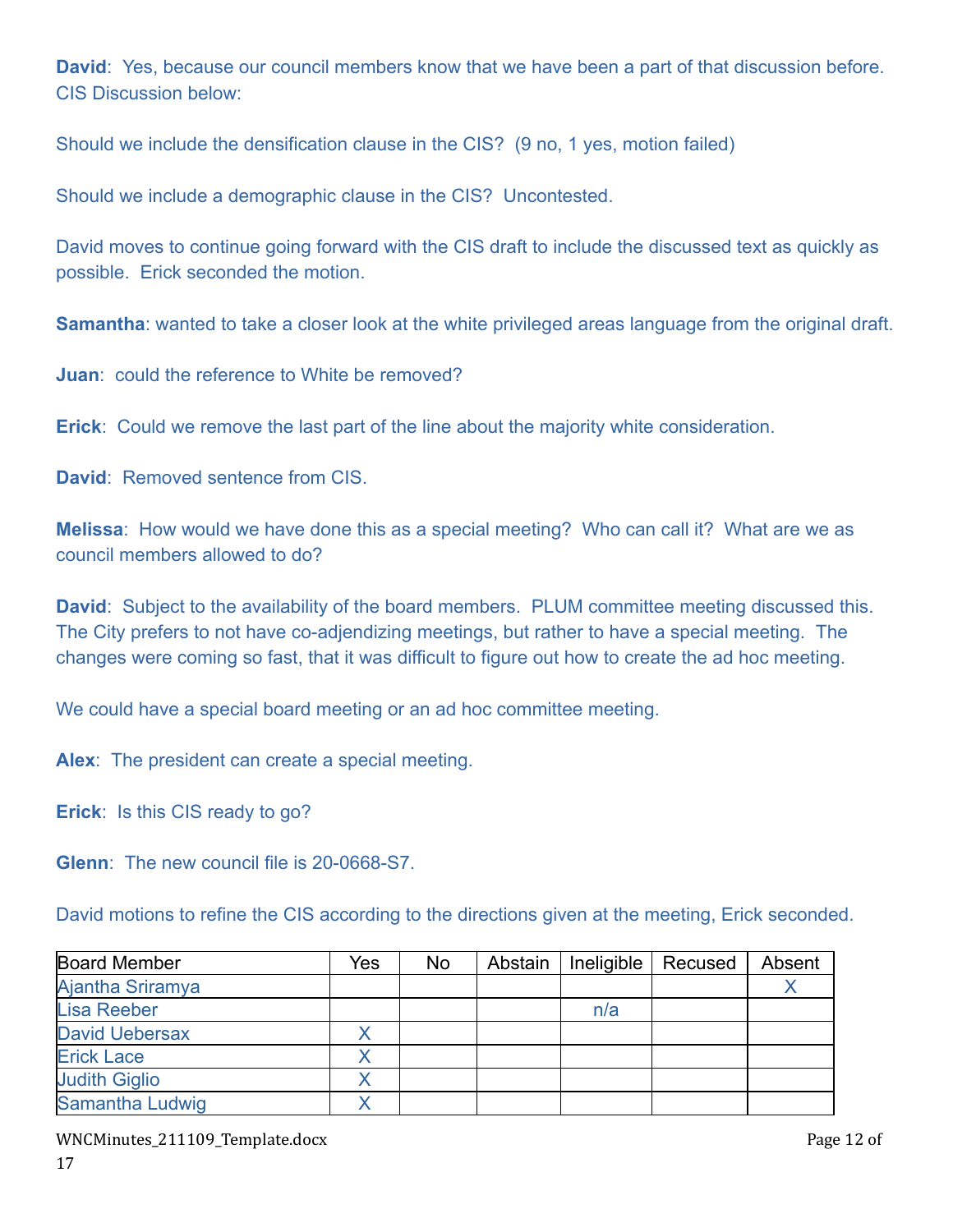**David**: Yes, because our council members know that we have been a part of that discussion before. CIS Discussion below:

Should we include the densification clause in the CIS? (9 no, 1 yes, motion failed)

Should we include a demographic clause in the CIS? Uncontested.

David moves to continue going forward with the CIS draft to include the discussed text as quickly as possible. Erick seconded the motion.

**Samantha**: wanted to take a closer look at the white privileged areas language from the original draft.

**Juan**: could the reference to White be removed?

**Erick**: Could we remove the last part of the line about the majority white consideration.

David: Removed sentence from CIS

**Melissa**: How would we have done this as a special meeting? Who can call it? What are we as council members allowed to do?

**David**: Subject to the availability of the board members. PLUM committee meeting discussed this. The City prefers to not have co-adjendizing meetings, but rather to have a special meeting. The changes were coming so fast, that it was difficult to figure out how to create the ad hoc meeting.

We could have a special board meeting or an ad hoc committee meeting.

**Alex**: The president can create a special meeting.

**Erick**: Is this CIS ready to go?

**Glenn**: The new council file is 20-0668-S7.

David motions to refine the CIS according to the directions given at the meeting, Erick seconded.

| <b>Board Member</b>    | Yes | No | Abstain | Ineligible | Recused | Absent |
|------------------------|-----|----|---------|------------|---------|--------|
| Ajantha Sriramya       |     |    |         |            |         |        |
| <b>Lisa Reeber</b>     |     |    |         | n/a        |         |        |
| <b>David Uebersax</b>  |     |    |         |            |         |        |
| <b>Erick Lace</b>      |     |    |         |            |         |        |
| <b>Judith Giglio</b>   |     |    |         |            |         |        |
| <b>Samantha Ludwig</b> |     |    |         |            |         |        |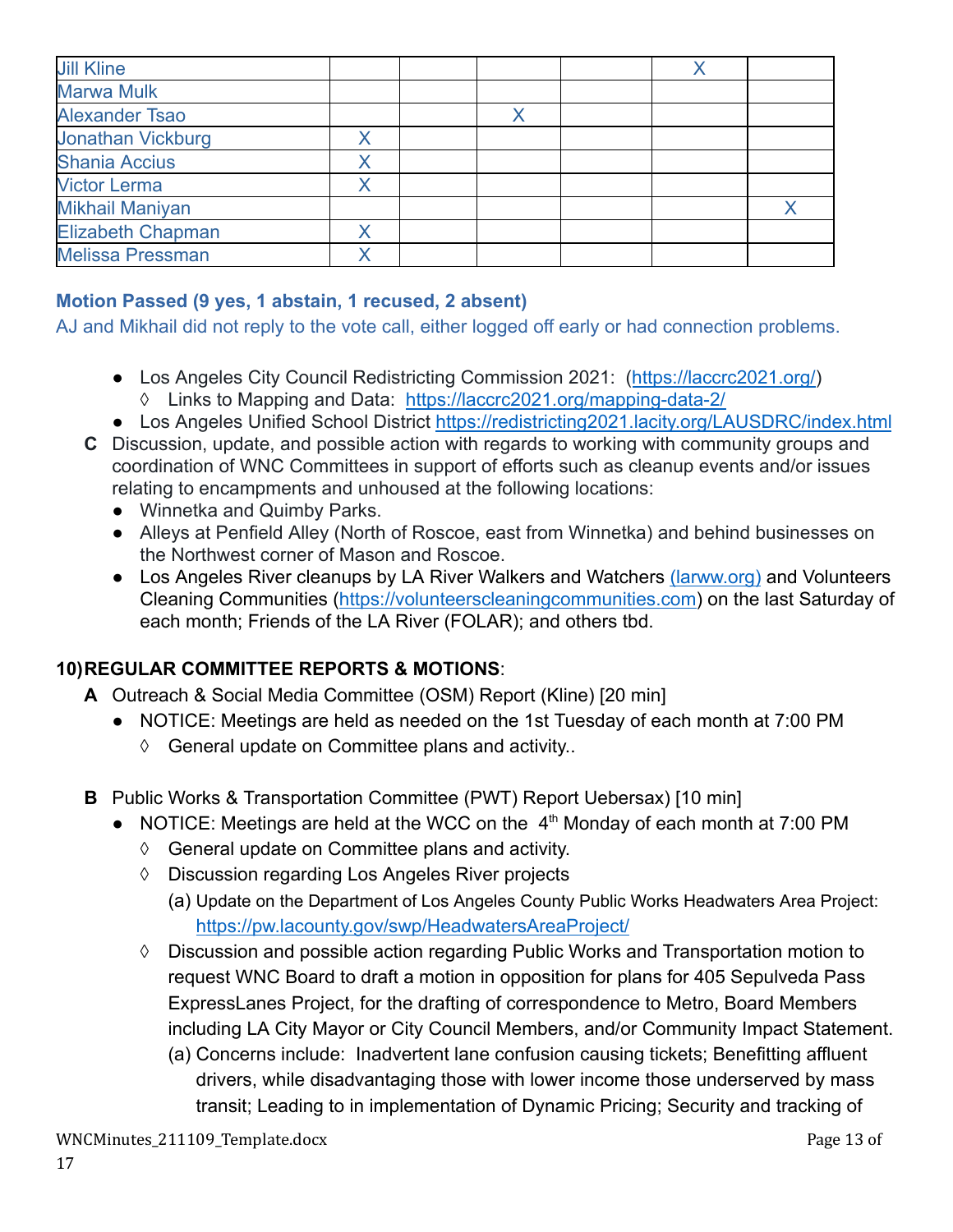| <b>Jill Kline</b>        |   |  |  |
|--------------------------|---|--|--|
| <b>Marwa Mulk</b>        |   |  |  |
| <b>Alexander Tsao</b>    |   |  |  |
| <b>Jonathan Vickburg</b> | Χ |  |  |
| <b>Shania Accius</b>     | X |  |  |
| <b>Victor Lerma</b>      | X |  |  |
| <b>Mikhail Maniyan</b>   |   |  |  |
| <b>Elizabeth Chapman</b> |   |  |  |
| <b>Melissa Pressman</b>  |   |  |  |

# **Motion Passed (9 yes, 1 abstain, 1 recused, 2 absent)**

AJ and Mikhail did not reply to the vote call, either logged off early or had connection problems.

- Los Angeles City Council Redistricting Commission 2021: (<https://laccrc2021.org/>) ◊ Links to Mapping and Data: <https://laccrc2021.org/mapping-data-2/>
- Los Angeles Unified School District <https://redistricting2021.lacity.org/LAUSDRC/index.html>
- **C** Discussion, update, and possible action with regards to working with community groups and coordination of WNC Committees in support of efforts such as cleanup events and/or issues relating to encampments and unhoused at the following locations:
	- Winnetka and Quimby Parks.
	- Alleys at Penfield Alley (North of Roscoe, east from Winnetka) and behind businesses on the Northwest corner of Mason and Roscoe.
	- Los Angeles River cleanups by LA River Walkers and Watchers [\(larww.org\)](http://larww.org/) and Volunteers Cleaning Communities ([https://volunteerscleaningcommunities.com\)](https://volunteerscleaningcommunities.com/) on the last Saturday of each month; Friends of the LA River (FOLAR); and others tbd.

# **10)REGULAR COMMITTEE REPORTS & MOTIONS**:

- **A** Outreach & Social Media Committee (OSM) Report (Kline) [20 min]
	- NOTICE: Meetings are held as needed on the 1st Tuesday of each month at 7:00 PM
		- ◊ General update on Committee plans and activity..
- **B** Public Works & Transportation Committee (PWT) Report Uebersax) [10 min]
	- NOTICE: Meetings are held at the WCC on the  $4<sup>th</sup>$  Monday of each month at 7:00 PM
		- ◊ General update on Committee plans and activity.
		- ◊ Discussion regarding Los Angeles River projects
			- (a) Update on the Department of Los Angeles County Public Works Headwaters Area Project: <https://pw.lacounty.gov/swp/HeadwatersAreaProject/>
		- ◊ Discussion and possible action regarding Public Works and Transportation motion to request WNC Board to draft a motion in opposition for plans for 405 Sepulveda Pass ExpressLanes Project, for the drafting of correspondence to Metro, Board Members including LA City Mayor or City Council Members, and/or Community Impact Statement.
			- (a) Concerns include: Inadvertent lane confusion causing tickets; Benefitting affluent drivers, while disadvantaging those with lower income those underserved by mass transit; Leading to in implementation of Dynamic Pricing; Security and tracking of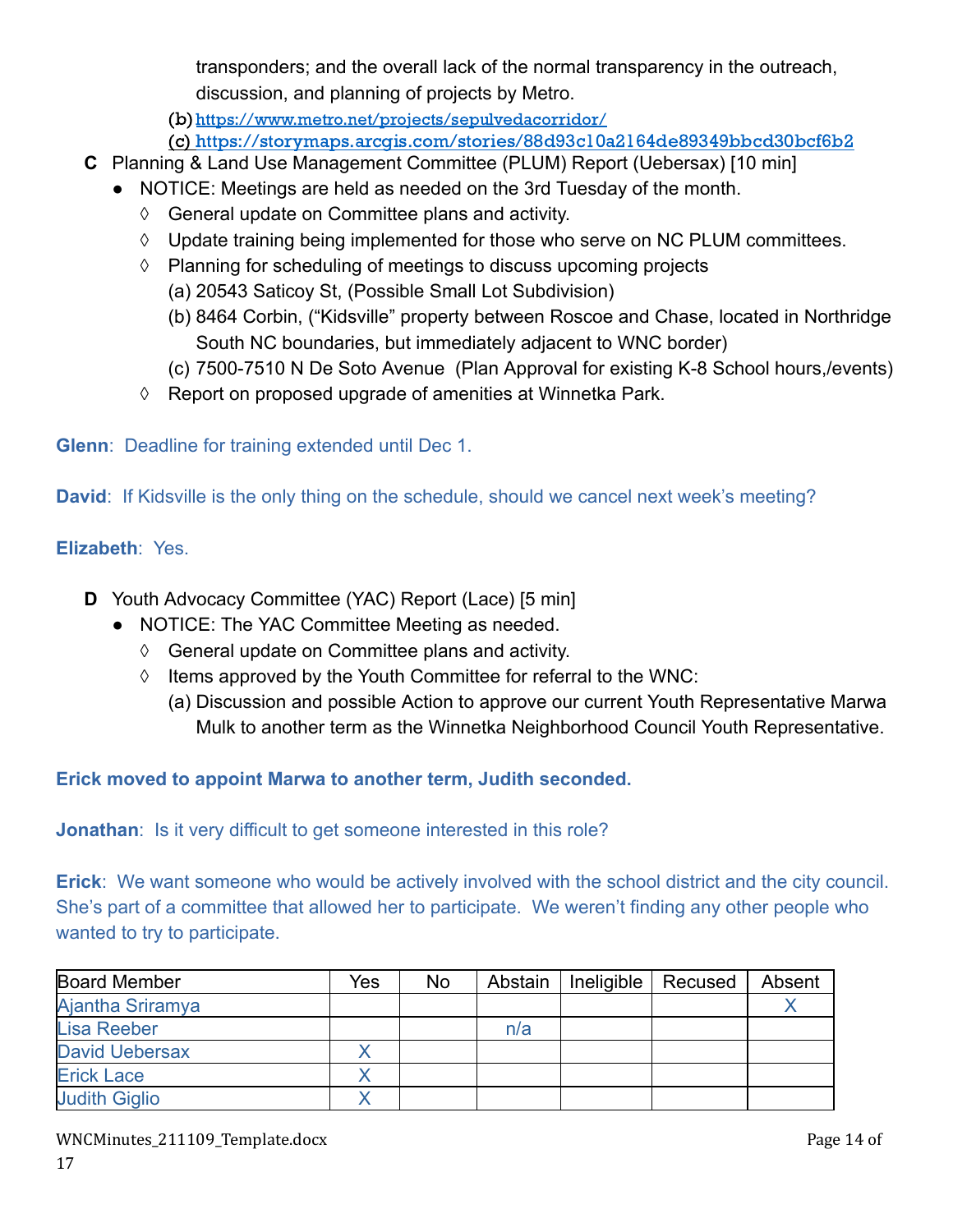transponders; and the overall lack of the normal transparency in the outreach, discussion, and planning of projects by Metro.

(b)<https://www.metro.net/projects/sepulvedacorridor/>

(c) <https://storymaps.arcgis.com/stories/88d93c10a2164de89349bbcd30bcf6b2>

- **C** Planning & Land Use Management Committee (PLUM) Report (Uebersax) [10 min]
	- NOTICE: Meetings are held as needed on the 3rd Tuesday of the month.
		- ◊ General update on Committee plans and activity.
		- ◊ Update training being implemented for those who serve on NC PLUM committees.
		- ◊ Planning for scheduling of meetings to discuss upcoming projects
			- (a) 20543 Saticoy St, (Possible Small Lot Subdivision)
				- (b) 8464 Corbin, ("Kidsville" property between Roscoe and Chase, located in Northridge South NC boundaries, but immediately adjacent to WNC border)
			- (c) 7500-7510 N De Soto Avenue (Plan Approval for existing K-8 School hours,/events)
		- ◊ Report on proposed upgrade of amenities at Winnetka Park.

**Glenn**: Deadline for training extended until Dec 1.

**David:** If Kidsville is the only thing on the schedule, should we cancel next week's meeting?

# **Elizabeth**: Yes.

- **D** Youth Advocacy Committee (YAC) Report (Lace) [5 min]
	- NOTICE: The YAC Committee Meeting as needed.
		- ◊ General update on Committee plans and activity.
		- ◊ Items approved by the Youth Committee for referral to the WNC:
			- (a) Discussion and possible Action to approve our current Youth Representative Marwa Mulk to another term as the Winnetka Neighborhood Council Youth Representative.

**Erick moved to appoint Marwa to another term, Judith seconded.**

**Jonathan:** Is it very difficult to get someone interested in this role?

**Erick**: We want someone who would be actively involved with the school district and the city council. She's part of a committee that allowed her to participate. We weren't finding any other people who wanted to try to participate.

| <b>Board Member</b>   | Yes | No | Abstain | Ineligible | Recused | Absent |
|-----------------------|-----|----|---------|------------|---------|--------|
| Ajantha Sriramya      |     |    |         |            |         |        |
| <b>Lisa Reeber</b>    |     |    | n/a     |            |         |        |
| <b>David Uebersax</b> |     |    |         |            |         |        |
| <b>Erick Lace</b>     |     |    |         |            |         |        |
| <b>Judith Giglio</b>  |     |    |         |            |         |        |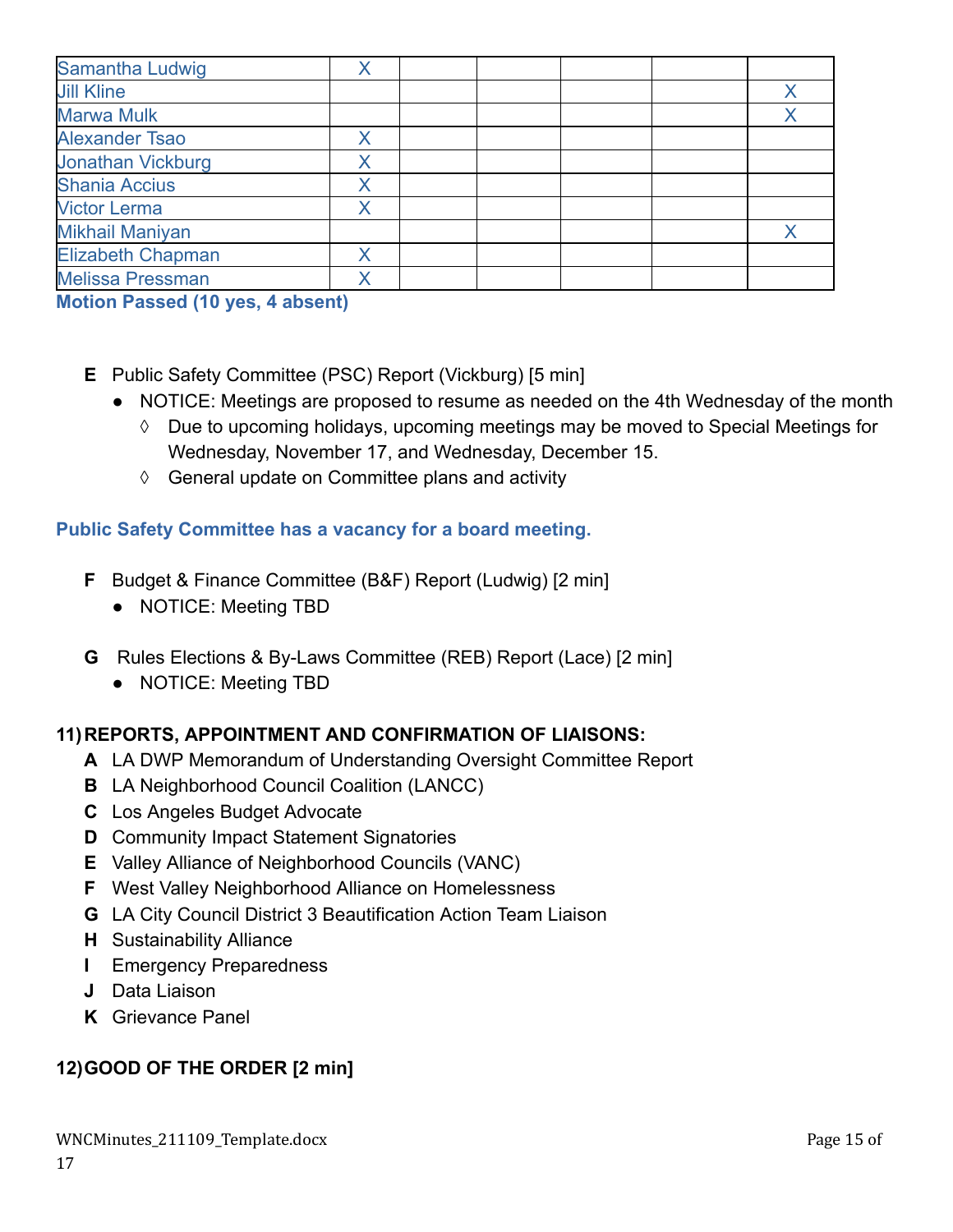| Samantha Ludwig          |  |  |  |
|--------------------------|--|--|--|
| <b>Jill Kline</b>        |  |  |  |
| <b>Marwa Mulk</b>        |  |  |  |
| <b>Alexander Tsao</b>    |  |  |  |
| <b>Jonathan Vickburg</b> |  |  |  |
| <b>Shania Accius</b>     |  |  |  |
| <b>Victor Lerma</b>      |  |  |  |
| <b>Mikhail Maniyan</b>   |  |  |  |
| <b>Elizabeth Chapman</b> |  |  |  |
| <b>Melissa Pressman</b>  |  |  |  |

**Motion Passed (10 yes, 4 absent)**

- **E** Public Safety Committee (PSC) Report (Vickburg) [5 min]
	- NOTICE: Meetings are proposed to resume as needed on the 4th Wednesday of the month
		- ◊ Due to upcoming holidays, upcoming meetings may be moved to Special Meetings for Wednesday, November 17, and Wednesday, December 15.
		- ◊ General update on Committee plans and activity

### **Public Safety Committee has a vacancy for a board meeting.**

- **F** Budget & Finance Committee (B&F) Report (Ludwig) [2 min]
	- NOTICE: Meeting TBD
- **G** Rules Elections & By-Laws Committee (REB) Report (Lace) [2 min]
	- **●** NOTICE: Meeting TBD

# **11)REPORTS, APPOINTMENT AND CONFIRMATION OF LIAISONS:**

- **A** LA DWP Memorandum of Understanding Oversight Committee Report
- **B** LA Neighborhood Council Coalition (LANCC)
- **C** Los Angeles Budget Advocate
- **D** Community Impact Statement Signatories
- **E** Valley Alliance of Neighborhood Councils (VANC)
- **F** West Valley Neighborhood Alliance on Homelessness
- **G** LA City Council District 3 Beautification Action Team Liaison
- **H** Sustainability Alliance
- **I** Emergency Preparedness
- **J** Data Liaison
- **K** Grievance Panel

# **12)GOOD OF THE ORDER [2 min]**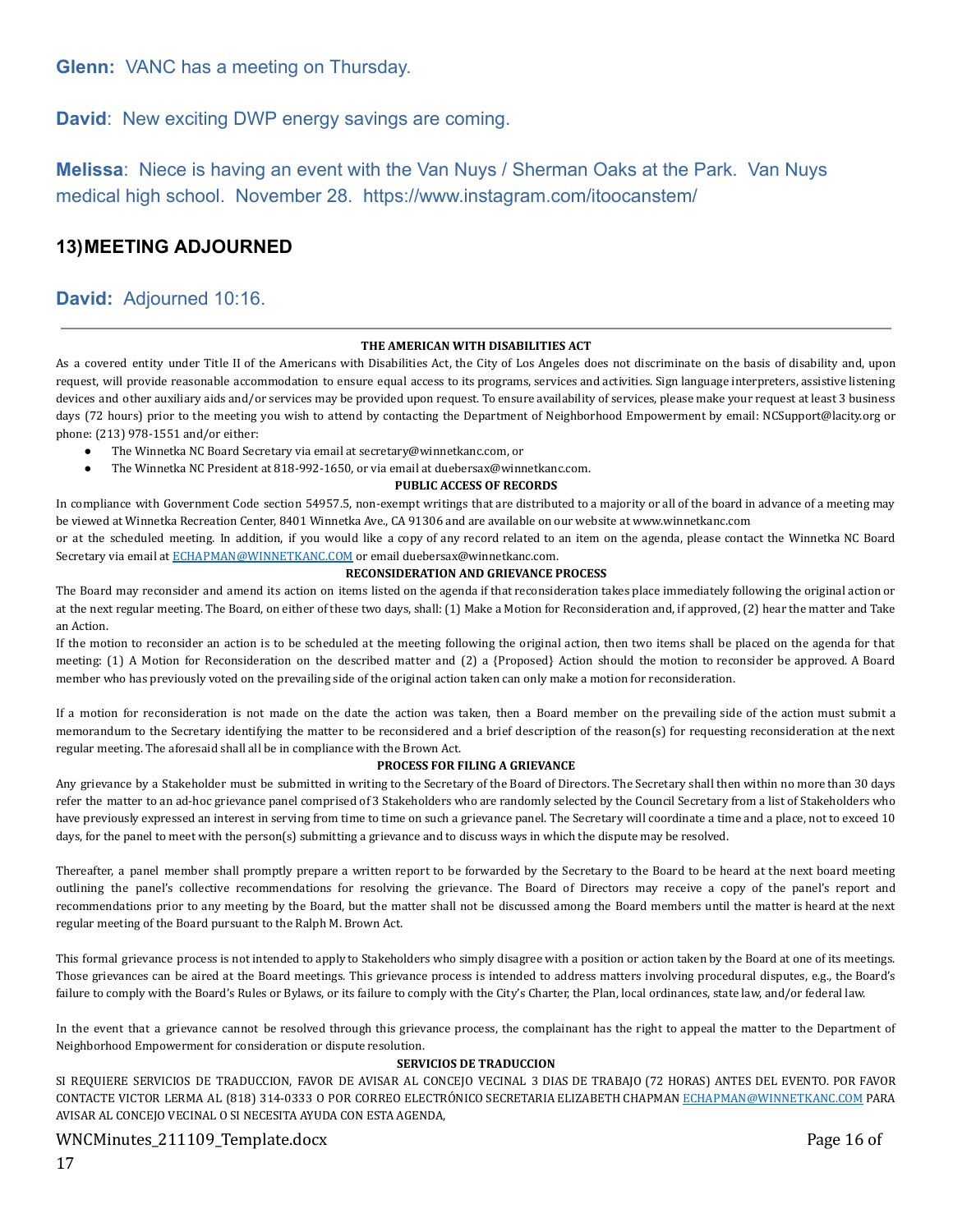**Glenn:** VANC has a meeting on Thursday.

**David**: New exciting DWP energy savings are coming.

**Melissa**: Niece is having an event with the Van Nuys / Sherman Oaks at the Park. Van Nuys medical high school. November 28. https://www.instagram.com/itoocanstem/

#### **13)MEETING ADJOURNED**

#### **David:** Adjourned 10:16.

#### **THE AMERICAN WITH DISABILITIES ACT**

As a covered entity under Title II of the Americans with Disabilities Act, the City of Los Angeles does not discriminate on the basis of disability and, upon request, will provide reasonable accommodation to ensure equal access to its programs, services and activities. Sign language interpreters, assistive listening devices and other auxiliary aids and/or services may be provided upon request. To ensure availability of services, please make your request at least 3 business days (72 hours) prior to the meeting you wish to attend by contacting the Department of Neighborhood Empowerment by email: NCSupport@lacity.org or phone: (213) 978-1551 and/or either:

- The Winnetka NC Board Secretary via email at secretary@winnetkanc.com, or
- The Winnetka NC President at 818-992-1650, or via email at duebersax@winnetkanc.com.

#### **PUBLIC ACCESS OF RECORDS**

In compliance with Government Code section 54957.5, non-exempt writings that are distributed to a majority or all of the board in advance of a meeting may be viewed at Winnetka Recreation Center, 8401 Winnetka Ave., CA 91306 and are available on our website at www.winnetkanc.com

or at the scheduled meeting. In addition, if you would like a copy of any record related to an item on the agenda, please contact the Winnetka NC Board Secretary via email at [ECHAPMAN@WINNETKANC.COM](mailto:ECHAPMAN@WINNETKANC.COM) or email duebersax@winnetkanc.com.

#### **RECONSIDERATION AND GRIEVANCE PROCESS**

The Board may reconsider and amend its action on items listed on the agenda if that reconsideration takes place immediately following the original action or at the next regular meeting. The Board, on either of these two days, shall: (1) Make a Motion for Reconsideration and, if approved, (2) hear the matter and Take an Action.

If the motion to reconsider an action is to be scheduled at the meeting following the original action, then two items shall be placed on the agenda for that meeting: (1) A Motion for Reconsideration on the described matter and (2) a {Proposed} Action should the motion to reconsider be approved. A Board member who has previously voted on the prevailing side of the original action taken can only make a motion for reconsideration.

If a motion for reconsideration is not made on the date the action was taken, then a Board member on the prevailing side of the action must submit a memorandum to the Secretary identifying the matter to be reconsidered and a brief description of the reason(s) for requesting reconsideration at the next regular meeting. The aforesaid shall all be in compliance with the Brown Act.

#### **PROCESS FOR FILING A GRIEVANCE**

Any grievance by a Stakeholder must be submitted in writing to the Secretary of the Board of Directors. The Secretary shall then within no more than 30 days refer the matter to an ad-hoc grievance panel comprised of 3 Stakeholders who are randomly selected by the Council Secretary from a list of Stakeholders who have previously expressed an interest in serving from time to time on such a grievance panel. The Secretary will coordinate a time and a place, not to exceed 10 days, for the panel to meet with the person(s) submitting a grievance and to discuss ways in which the dispute may be resolved.

Thereafter, a panel member shall promptly prepare a written report to be forwarded by the Secretary to the Board to be heard at the next board meeting outlining the panel's collective recommendations for resolving the grievance. The Board of Directors may receive a copy of the panel's report and recommendations prior to any meeting by the Board, but the matter shall not be discussed among the Board members until the matter is heard at the next regular meeting of the Board pursuant to the Ralph M. Brown Act.

This formal grievance process is not intended to apply to Stakeholders who simply disagree with a position or action taken by the Board at one of its meetings. Those grievances can be aired at the Board meetings. This grievance process is intended to address matters involving procedural disputes, e.g., the Board's failure to comply with the Board's Rules or Bylaws, or its failure to comply with the City's Charter, the Plan, local ordinances, state law, and/or federal law.

In the event that a grievance cannot be resolved through this grievance process, the complainant has the right to appeal the matter to the Department of Neighborhood Empowerment for consideration or dispute resolution.

#### **SERVICIOS DE TRADUCCION**

SI REQUIERE SERVICIOS DE TRADUCCION, FAVOR DE AVISAR AL CONCEJO VECINAL 3 DIAS DE TRABAJO (72 HORAS) ANTES DEL EVENTO. POR FAVOR CONTACTE VICTOR LERMA AL (818) 314-0333 O POR CORREO ELECTRONICO SECRETARIA ELIZABETH CHAPMAN [ECHAPMAN@WINNETKANC.COM](mailto:ECHAPMAN@WINNETKANC.com) PARA AVISAR AL CONCEJO VECINAL O SI NECESITA AYUDA CON ESTA AGENDA,

#### WNCMinutes\_211109\_Template.docx Page 16 of